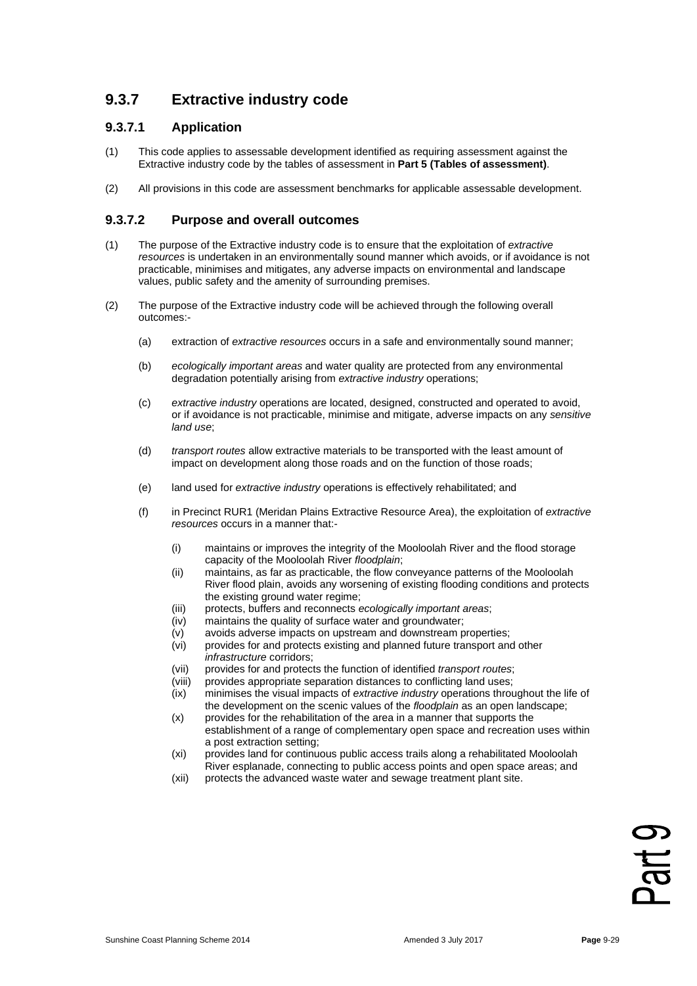## **9.3.7 Extractive industry code**

#### **9.3.7.1 Application**

- (1) This code applies to assessable development identified as requiring assessment against the Extractive industry code by the tables of assessment in **Part 5 (Tables of assessment)**.
- (2) All provisions in this code are assessment benchmarks for applicable assessable development.

#### **9.3.7.2 Purpose and overall outcomes**

- (1) The purpose of the Extractive industry code is to ensure that the exploitation of *extractive resources* is undertaken in an environmentally sound manner which avoids, or if avoidance is not practicable, minimises and mitigates, any adverse impacts on environmental and landscape values, public safety and the amenity of surrounding premises.
- (2) The purpose of the Extractive industry code will be achieved through the following overall outcomes:-
	- (a) extraction of *extractive resources* occurs in a safe and environmentally sound manner;
	- (b) *ecologically important areas* and water quality are protected from any environmental degradation potentially arising from *extractive industry* operations;
	- (c) *extractive industry* operations are located, designed, constructed and operated to avoid, or if avoidance is not practicable, minimise and mitigate, adverse impacts on any *sensitive land use*;
	- (d) *transport routes* allow extractive materials to be transported with the least amount of impact on development along those roads and on the function of those roads;
	- (e) land used for *extractive industry* operations is effectively rehabilitated; and
	- (f) in Precinct RUR1 (Meridan Plains Extractive Resource Area), the exploitation of *extractive resources* occurs in a manner that:-
		- (i) maintains or improves the integrity of the Mooloolah River and the flood storage capacity of the Mooloolah River *floodplain*;
		- (ii) maintains, as far as practicable, the flow conveyance patterns of the Mooloolah River flood plain, avoids any worsening of existing flooding conditions and protects the existing ground water regime;
		- (iii) protects, buffers and reconnects *ecologically important areas*;<br>(iv) maintains the quality of surface water and groundwater;
		- maintains the quality of surface water and groundwater;
		- (v) avoids adverse impacts on upstream and downstream properties;
		- provides for and protects existing and planned future transport and other *infrastructure* corridors;
		- (vii) provides for and protects the function of identified *transport routes*;
		- provides appropriate separation distances to conflicting land uses;
		- (ix) minimises the visual impacts of *extractive industry* operations throughout the life of the development on the scenic values of the *floodplain* as an open landscape;
		- (x) provides for the rehabilitation of the area in a manner that supports the establishment of a range of complementary open space and recreation uses within a post extraction setting;
		- (xi) provides land for continuous public access trails along a rehabilitated Mooloolah River esplanade, connecting to public access points and open space areas; and
		- (xii) protects the advanced waste water and sewage treatment plant site.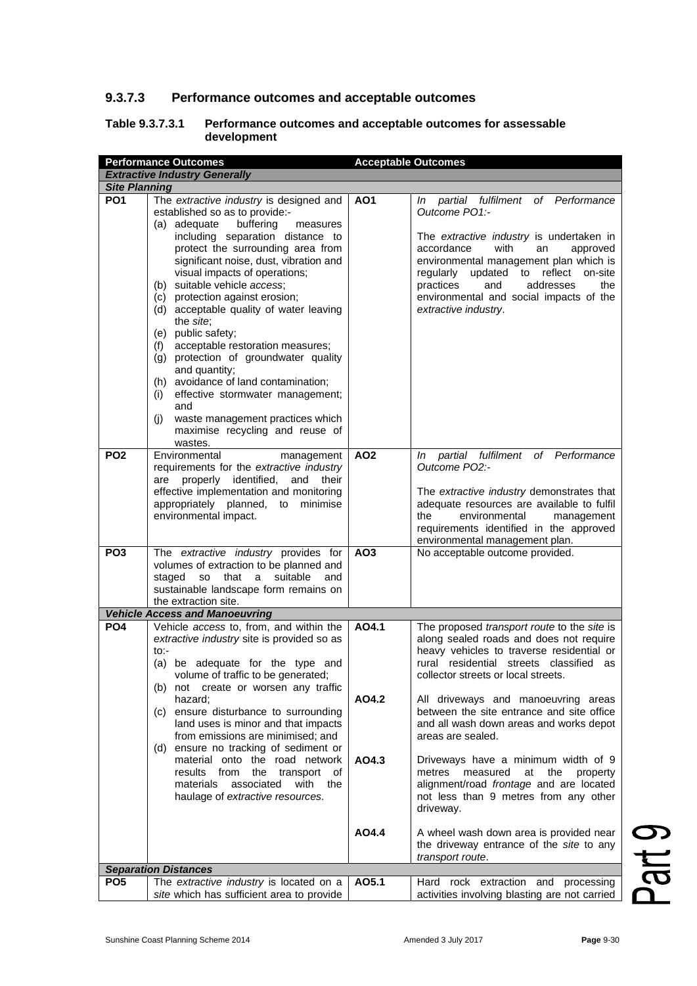### **9.3.7.3 Performance outcomes and acceptable outcomes**

#### **Table 9.3.7.3.1 Performance outcomes and acceptable outcomes for assessable development**

|                      | <b>Acceptable Outcomes</b><br><b>Performance Outcomes</b>                                                                                                                                                                                                                                                                                                                                                                                                                                                                                                                                                                                                                                            |                 |                                                                                                                                                                                                                                                                                                                                                      |  |  |
|----------------------|------------------------------------------------------------------------------------------------------------------------------------------------------------------------------------------------------------------------------------------------------------------------------------------------------------------------------------------------------------------------------------------------------------------------------------------------------------------------------------------------------------------------------------------------------------------------------------------------------------------------------------------------------------------------------------------------------|-----------------|------------------------------------------------------------------------------------------------------------------------------------------------------------------------------------------------------------------------------------------------------------------------------------------------------------------------------------------------------|--|--|
|                      | <b>Extractive Industry Generally</b>                                                                                                                                                                                                                                                                                                                                                                                                                                                                                                                                                                                                                                                                 |                 |                                                                                                                                                                                                                                                                                                                                                      |  |  |
| <b>Site Planning</b> |                                                                                                                                                                                                                                                                                                                                                                                                                                                                                                                                                                                                                                                                                                      |                 |                                                                                                                                                                                                                                                                                                                                                      |  |  |
| <b>PO1</b>           | The extractive industry is designed and<br>established so as to provide:-<br>(a) adequate<br>buffering<br>measures<br>including separation distance to<br>protect the surrounding area from<br>significant noise, dust, vibration and<br>visual impacts of operations;<br>(b) suitable vehicle access;<br>(c) protection against erosion;<br>(d) acceptable quality of water leaving<br>the site;<br>(e) public safety;<br>acceptable restoration measures;<br>(f)<br>(g) protection of groundwater quality<br>and quantity;<br>(h) avoidance of land contamination;<br>effective stormwater management;<br>(i)<br>and<br>waste management practices which<br>(i)<br>maximise recycling and reuse of | A01             | partial fulfilment of Performance<br>In<br>Outcome PO1:-<br>The extractive industry is undertaken in<br>accordance<br>with<br>an<br>approved<br>environmental management plan which is<br>updated to reflect<br>on-site<br>regularly<br>practices<br>and<br>addresses<br>the<br>environmental and social impacts of the<br>extractive industry.      |  |  |
| PO <sub>2</sub>      | wastes.<br>Environmental<br>management<br>requirements for the extractive industry<br>are properly identified, and<br>their<br>effective implementation and monitoring<br>appropriately planned, to<br>minimise<br>environmental impact.                                                                                                                                                                                                                                                                                                                                                                                                                                                             | <b>AO2</b>      | partial fulfilment of Performance<br>In<br>Outcome PO2:-<br>The extractive industry demonstrates that<br>adequate resources are available to fulfil<br>environmental<br>the<br>management<br>requirements identified in the approved<br>environmental management plan.                                                                               |  |  |
| PO <sub>3</sub>      | The extractive industry provides for<br>volumes of extraction to be planned and<br>staged<br>that<br>suitable<br>so<br>a<br>and<br>sustainable landscape form remains on<br>the extraction site.                                                                                                                                                                                                                                                                                                                                                                                                                                                                                                     | AO <sub>3</sub> | No acceptable outcome provided.                                                                                                                                                                                                                                                                                                                      |  |  |
|                      | <b>Vehicle Access and Manoeuvring</b>                                                                                                                                                                                                                                                                                                                                                                                                                                                                                                                                                                                                                                                                |                 |                                                                                                                                                                                                                                                                                                                                                      |  |  |
| PO <sub>4</sub>      | Vehicle access to, from, and within the<br>extractive industry site is provided so as<br>to:-<br>(a) be adequate for the type and<br>volume of traffic to be generated;<br>(b) not create or worsen any traffic<br>hazard;<br>(c) ensure disturbance to surrounding<br>land uses is minor and that impacts                                                                                                                                                                                                                                                                                                                                                                                           | AO4.1<br>AO4.2  | The proposed transport route to the site is<br>along sealed roads and does not require<br>heavy vehicles to traverse residential or<br>rural residential streets classified as<br>collector streets or local streets.<br>All driveways and manoeuvring areas<br>between the site entrance and site office<br>and all wash down areas and works depot |  |  |
|                      | from emissions are minimised; and<br>(d) ensure no tracking of sediment or<br>material onto the road network<br>results from<br>the<br>transport<br>ot<br>associated<br>materials<br>with<br>the<br>haulage of extractive resources.                                                                                                                                                                                                                                                                                                                                                                                                                                                                 | AO4.3<br>AO4.4  | areas are sealed.<br>Driveways have a minimum width of 9<br>metres<br>measured<br>at<br>the<br>property<br>alignment/road frontage and are located<br>not less than 9 metres from any other<br>driveway.                                                                                                                                             |  |  |
|                      |                                                                                                                                                                                                                                                                                                                                                                                                                                                                                                                                                                                                                                                                                                      |                 | A wheel wash down area is provided near<br>the driveway entrance of the site to any<br>transport route.                                                                                                                                                                                                                                              |  |  |
|                      | <b>Separation Distances</b>                                                                                                                                                                                                                                                                                                                                                                                                                                                                                                                                                                                                                                                                          |                 |                                                                                                                                                                                                                                                                                                                                                      |  |  |
| PO <sub>5</sub>      | The extractive industry is located on a<br>site which has sufficient area to provide                                                                                                                                                                                                                                                                                                                                                                                                                                                                                                                                                                                                                 | AO5.1           | Hard rock extraction and processing<br>activities involving blasting are not carried                                                                                                                                                                                                                                                                 |  |  |

Part 9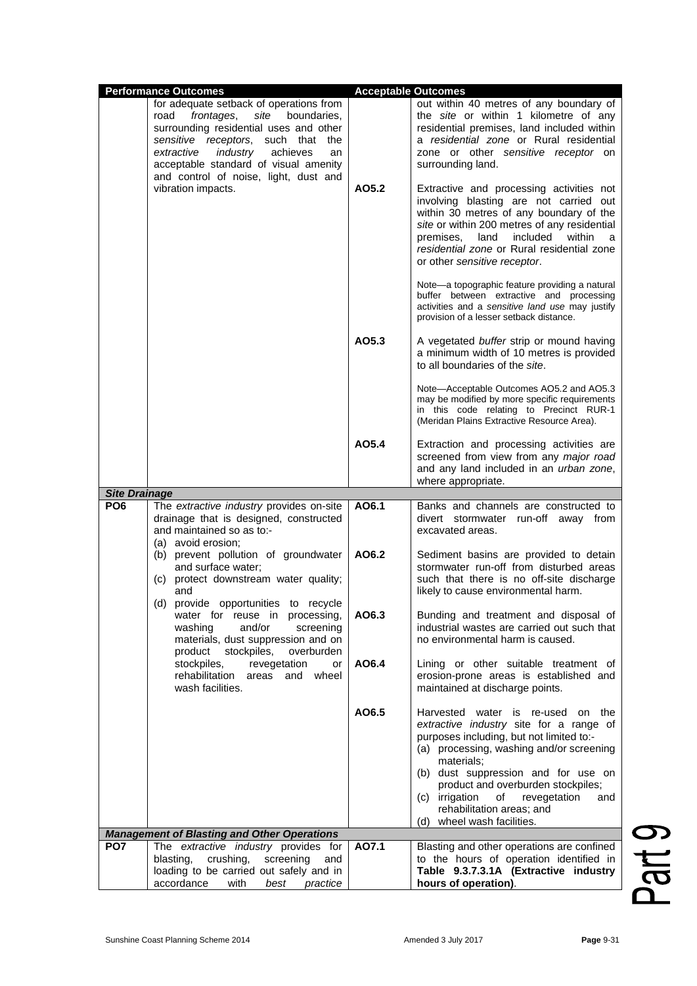|                      | <b>Performance Outcomes</b>                                                                                                                                                                                                                                                                           | <b>Acceptable Outcomes</b>                                                                                                                                                                                                                                                                                  |                                                                                                                                                                                                                                                                 |  |
|----------------------|-------------------------------------------------------------------------------------------------------------------------------------------------------------------------------------------------------------------------------------------------------------------------------------------------------|-------------------------------------------------------------------------------------------------------------------------------------------------------------------------------------------------------------------------------------------------------------------------------------------------------------|-----------------------------------------------------------------------------------------------------------------------------------------------------------------------------------------------------------------------------------------------------------------|--|
|                      | for adequate setback of operations from<br>site<br>boundaries,<br>road<br>frontages,<br>surrounding residential uses and other<br>sensitive receptors,<br>such that the<br>industry<br>extractive<br>achieves<br>an<br>acceptable standard of visual amenity<br>and control of noise, light, dust and |                                                                                                                                                                                                                                                                                                             | out within 40 metres of any boundary of<br>the site or within 1 kilometre of any<br>residential premises, land included within<br>a residential zone or Rural residential<br>zone or other sensitive receptor on<br>surrounding land.                           |  |
| vibration impacts.   | AO5.2                                                                                                                                                                                                                                                                                                 | Extractive and processing activities not<br>involving blasting are not carried out<br>within 30 metres of any boundary of the<br>site or within 200 metres of any residential<br>land<br>included<br>within<br>premises,<br>a<br>residential zone or Rural residential zone<br>or other sensitive receptor. |                                                                                                                                                                                                                                                                 |  |
|                      |                                                                                                                                                                                                                                                                                                       |                                                                                                                                                                                                                                                                                                             | Note-a topographic feature providing a natural<br>buffer between extractive and processing<br>activities and a sensitive land use may justify<br>provision of a lesser setback distance.                                                                        |  |
|                      |                                                                                                                                                                                                                                                                                                       | AO5.3                                                                                                                                                                                                                                                                                                       | A vegetated buffer strip or mound having<br>a minimum width of 10 metres is provided<br>to all boundaries of the site.                                                                                                                                          |  |
|                      |                                                                                                                                                                                                                                                                                                       |                                                                                                                                                                                                                                                                                                             | Note—Acceptable Outcomes AO5.2 and AO5.3<br>may be modified by more specific requirements<br>in this code relating to Precinct RUR-1<br>(Meridan Plains Extractive Resource Area).                                                                              |  |
|                      |                                                                                                                                                                                                                                                                                                       | AO5.4                                                                                                                                                                                                                                                                                                       | Extraction and processing activities are<br>screened from view from any major road<br>and any land included in an urban zone,<br>where appropriate.                                                                                                             |  |
| <b>Site Drainage</b> |                                                                                                                                                                                                                                                                                                       |                                                                                                                                                                                                                                                                                                             |                                                                                                                                                                                                                                                                 |  |
| PO <sub>6</sub>      | The extractive industry provides on-site<br>drainage that is designed, constructed<br>and maintained so as to:-<br>(a) avoid erosion;                                                                                                                                                                 | AO6.1                                                                                                                                                                                                                                                                                                       | Banks and channels are constructed to<br>divert stormwater run-off away from<br>excavated areas.                                                                                                                                                                |  |
|                      | (b) prevent pollution of groundwater<br>and surface water;<br>(c) protect downstream water quality;<br>and<br>(d) provide opportunities to recycle                                                                                                                                                    | AO6.2                                                                                                                                                                                                                                                                                                       | Sediment basins are provided to detain<br>stormwater run-off from disturbed areas<br>such that there is no off-site discharge<br>likely to cause environmental harm.                                                                                            |  |
|                      | water for reuse in processing,<br>and/or<br>screening<br>washing<br>materials, dust suppression and on<br>stockpiles,<br>product<br>overburden                                                                                                                                                        | AO6.3                                                                                                                                                                                                                                                                                                       | Bunding and treatment and disposal of<br>industrial wastes are carried out such that<br>no environmental harm is caused.                                                                                                                                        |  |
|                      | stockpiles,<br>revegetation<br>or<br>rehabilitation areas and<br>wheel<br>wash facilities.                                                                                                                                                                                                            | AO6.4                                                                                                                                                                                                                                                                                                       | Lining or other suitable treatment of<br>erosion-prone areas is established and<br>maintained at discharge points.                                                                                                                                              |  |
|                      |                                                                                                                                                                                                                                                                                                       | AO6.5                                                                                                                                                                                                                                                                                                       | Harvested water is re-used on the<br>extractive industry site for a range of<br>purposes including, but not limited to:-<br>(a) processing, washing and/or screening<br>materials;<br>(b) dust suppression and for use on<br>product and overburden stockpiles; |  |
|                      |                                                                                                                                                                                                                                                                                                       |                                                                                                                                                                                                                                                                                                             | (c) irrigation<br>of<br>revegetation<br>and<br>rehabilitation areas; and                                                                                                                                                                                        |  |
|                      | <b>Management of Blasting and Other Operations</b>                                                                                                                                                                                                                                                    |                                                                                                                                                                                                                                                                                                             | (d) wheel wash facilities.                                                                                                                                                                                                                                      |  |
| PO <sub>7</sub>      | The extractive industry provides for                                                                                                                                                                                                                                                                  | A07.1                                                                                                                                                                                                                                                                                                       | Blasting and other operations are confined                                                                                                                                                                                                                      |  |
|                      | crushing,<br>screening<br>blasting,<br>and<br>loading to be carried out safely and in<br>accordance<br>with<br>best<br>practice                                                                                                                                                                       |                                                                                                                                                                                                                                                                                                             | to the hours of operation identified in<br>Table 9.3.7.3.1A (Extractive industry<br>hours of operation).                                                                                                                                                        |  |

Part 9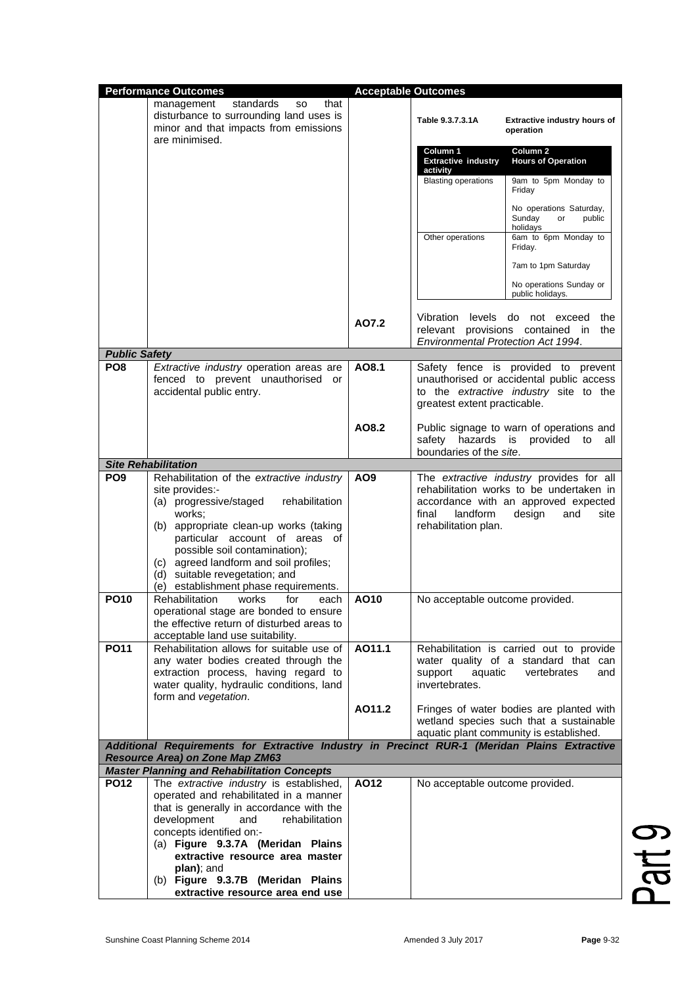|                      | <b>Performance Outcomes</b>                                                                                                                                                                                                                                                                                                                          |                 | <b>Acceptable Outcomes</b>                                                              |                                                                                                                                                       |
|----------------------|------------------------------------------------------------------------------------------------------------------------------------------------------------------------------------------------------------------------------------------------------------------------------------------------------------------------------------------------------|-----------------|-----------------------------------------------------------------------------------------|-------------------------------------------------------------------------------------------------------------------------------------------------------|
|                      | standards<br>that<br>management<br><b>SO</b><br>disturbance to surrounding land uses is<br>minor and that impacts from emissions<br>are minimised.                                                                                                                                                                                                   |                 | Table 9.3.7.3.1A                                                                        | Extractive industry hours of<br>operation                                                                                                             |
|                      |                                                                                                                                                                                                                                                                                                                                                      |                 | Column 1<br><b>Extractive industry</b><br>activity                                      | Column 2<br><b>Hours of Operation</b>                                                                                                                 |
|                      |                                                                                                                                                                                                                                                                                                                                                      |                 | <b>Blasting operations</b>                                                              | 9am to 5pm Monday to<br>Friday                                                                                                                        |
|                      |                                                                                                                                                                                                                                                                                                                                                      |                 |                                                                                         | No operations Saturday,<br>Sundav<br>public<br>or<br>holidays                                                                                         |
|                      |                                                                                                                                                                                                                                                                                                                                                      |                 | Other operations                                                                        | 6am to 6pm Monday to<br>Friday.                                                                                                                       |
|                      |                                                                                                                                                                                                                                                                                                                                                      |                 |                                                                                         | 7am to 1pm Saturday<br>No operations Sunday or                                                                                                        |
|                      |                                                                                                                                                                                                                                                                                                                                                      |                 |                                                                                         | public holidays.                                                                                                                                      |
| <b>Public Safety</b> |                                                                                                                                                                                                                                                                                                                                                      | AO7.2           | Vibration<br>relevant provisions contained<br><b>Environmental Protection Act 1994.</b> | levels do not exceed<br>the<br>the<br>in.                                                                                                             |
| PO <sub>8</sub>      | Extractive industry operation areas are                                                                                                                                                                                                                                                                                                              | AO8.1           |                                                                                         | Safety fence is provided to prevent                                                                                                                   |
|                      | fenced to prevent unauthorised or<br>accidental public entry.                                                                                                                                                                                                                                                                                        |                 | greatest extent practicable.                                                            | unauthorised or accidental public access<br>to the extractive industry site to the                                                                    |
|                      |                                                                                                                                                                                                                                                                                                                                                      | AO8.2           | safety hazards is<br>boundaries of the site.                                            | Public signage to warn of operations and<br>provided<br>to<br>all                                                                                     |
|                      | <b>Site Rehabilitation</b>                                                                                                                                                                                                                                                                                                                           |                 |                                                                                         |                                                                                                                                                       |
| PO <sub>9</sub>      | Rehabilitation of the extractive industry<br>site provides:-<br>(a) progressive/staged<br>rehabilitation<br>works;<br>(b) appropriate clean-up works (taking<br>particular account of areas of<br>possible soil contamination);<br>(c) agreed landform and soil profiles;<br>(d) suitable revegetation; and<br>(e) establishment phase requirements. | AO <sub>9</sub> | landform<br>final<br>rehabilitation plan.                                               | The extractive industry provides for all<br>rehabilitation works to be undertaken in<br>accordance with an approved expected<br>design<br>and<br>site |
| <b>PO10</b>          | <b>Rehabilitation</b><br>works<br>for<br>each<br>operational stage are bonded to ensure<br>the effective return of disturbed areas to<br>acceptable land use suitability.                                                                                                                                                                            | AO10            | No acceptable outcome provided.                                                         |                                                                                                                                                       |
| <b>PO11</b>          | Rehabilitation allows for suitable use of<br>any water bodies created through the<br>extraction process, having regard to<br>water quality, hydraulic conditions, land<br>form and vegetation.                                                                                                                                                       | AO11.1          | support<br>aquatic<br>invertebrates.                                                    | Rehabilitation is carried out to provide<br>water quality of a standard that can<br>vertebrates<br>and                                                |
|                      |                                                                                                                                                                                                                                                                                                                                                      | AO11.2          |                                                                                         | Fringes of water bodies are planted with<br>wetland species such that a sustainable<br>aquatic plant community is established.                        |
|                      | Additional Requirements for Extractive Industry in Precinct RUR-1 (Meridan Plains Extractive<br>Resource Area) on Zone Map ZM63                                                                                                                                                                                                                      |                 |                                                                                         |                                                                                                                                                       |
|                      | <b>Master Planning and Rehabilitation Concepts</b>                                                                                                                                                                                                                                                                                                   |                 |                                                                                         |                                                                                                                                                       |
| <b>PO12</b>          | The extractive industry is established,<br>operated and rehabilitated in a manner<br>that is generally in accordance with the<br>development<br>and<br>rehabilitation                                                                                                                                                                                | AO12            | No acceptable outcome provided.                                                         |                                                                                                                                                       |
|                      | concepts identified on:-<br>(a) Figure 9.3.7A (Meridan Plains<br>extractive resource area master                                                                                                                                                                                                                                                     |                 |                                                                                         |                                                                                                                                                       |
|                      | plan); and<br>(b) Figure 9.3.7B (Meridan Plains                                                                                                                                                                                                                                                                                                      |                 |                                                                                         |                                                                                                                                                       |
|                      | extractive resource area end use                                                                                                                                                                                                                                                                                                                     |                 |                                                                                         |                                                                                                                                                       |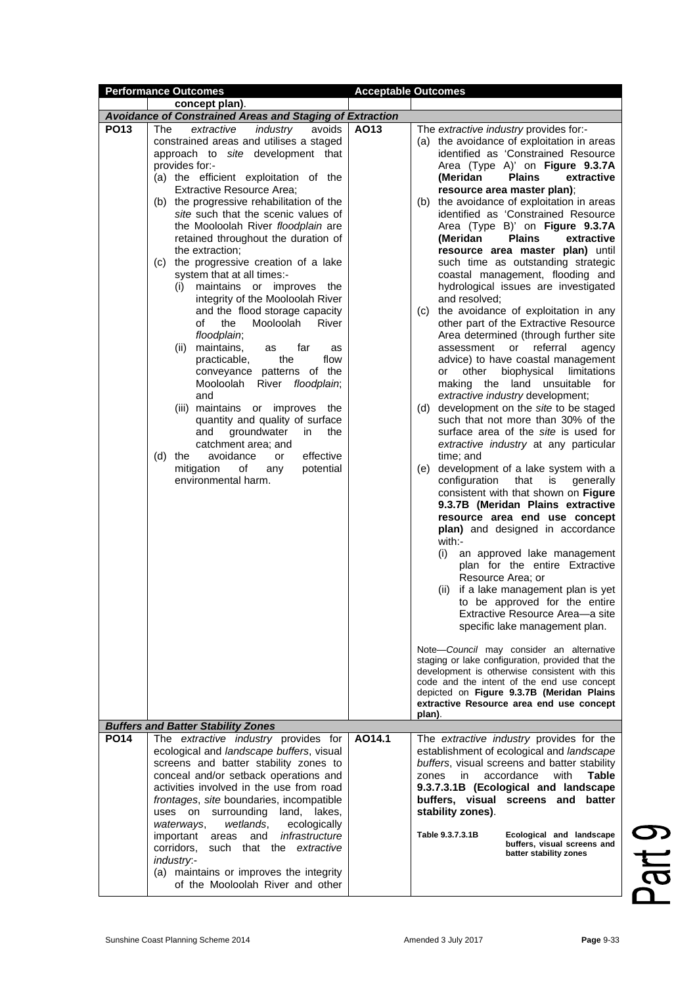|             | <b>Performance Outcomes</b>                                                                                                                                                                                                                                                                                                                                                                                                                                                                                                                                                                                                                                                                                                                                                                                                                                                                                                                                                                                                                             | <b>Acceptable Outcomes</b>                                                                                                                                                                                                                                                                                                                                                                                                                                                                                                                                                                                                                                                                                                                                                                                                                                                                                                                                                                                                                                                                                                                                                                                                                                                                                                                                                                                                                                                                                                                                                                                                                                                                                                                                                                                                                                                                                   |
|-------------|---------------------------------------------------------------------------------------------------------------------------------------------------------------------------------------------------------------------------------------------------------------------------------------------------------------------------------------------------------------------------------------------------------------------------------------------------------------------------------------------------------------------------------------------------------------------------------------------------------------------------------------------------------------------------------------------------------------------------------------------------------------------------------------------------------------------------------------------------------------------------------------------------------------------------------------------------------------------------------------------------------------------------------------------------------|--------------------------------------------------------------------------------------------------------------------------------------------------------------------------------------------------------------------------------------------------------------------------------------------------------------------------------------------------------------------------------------------------------------------------------------------------------------------------------------------------------------------------------------------------------------------------------------------------------------------------------------------------------------------------------------------------------------------------------------------------------------------------------------------------------------------------------------------------------------------------------------------------------------------------------------------------------------------------------------------------------------------------------------------------------------------------------------------------------------------------------------------------------------------------------------------------------------------------------------------------------------------------------------------------------------------------------------------------------------------------------------------------------------------------------------------------------------------------------------------------------------------------------------------------------------------------------------------------------------------------------------------------------------------------------------------------------------------------------------------------------------------------------------------------------------------------------------------------------------------------------------------------------------|
|             | concept plan).                                                                                                                                                                                                                                                                                                                                                                                                                                                                                                                                                                                                                                                                                                                                                                                                                                                                                                                                                                                                                                          |                                                                                                                                                                                                                                                                                                                                                                                                                                                                                                                                                                                                                                                                                                                                                                                                                                                                                                                                                                                                                                                                                                                                                                                                                                                                                                                                                                                                                                                                                                                                                                                                                                                                                                                                                                                                                                                                                                              |
|             | <b>Avoidance of Constrained Areas and Staging of Extraction</b>                                                                                                                                                                                                                                                                                                                                                                                                                                                                                                                                                                                                                                                                                                                                                                                                                                                                                                                                                                                         |                                                                                                                                                                                                                                                                                                                                                                                                                                                                                                                                                                                                                                                                                                                                                                                                                                                                                                                                                                                                                                                                                                                                                                                                                                                                                                                                                                                                                                                                                                                                                                                                                                                                                                                                                                                                                                                                                                              |
| <b>PO13</b> | extractive<br>industry<br>avoids<br>The<br>constrained areas and utilises a staged<br>approach to site development that<br>provides for:-<br>(a) the efficient exploitation of the<br><b>Extractive Resource Area;</b><br>(b) the progressive rehabilitation of the<br>site such that the scenic values of<br>the Mooloolah River floodplain are<br>retained throughout the duration of<br>the extraction:<br>the progressive creation of a lake<br>(C)<br>system that at all times:-<br>maintains or improves the<br>(i)<br>integrity of the Mooloolah River<br>and the flood storage capacity<br>οf<br>the<br>Mooloolah<br>River<br>floodplain;<br>maintains,<br>(ii)<br>far<br>as<br>as<br>practicable,<br>the<br>flow<br>conveyance patterns of the<br>Mooloolah<br>River <i>floodplain</i> ;<br>and<br>(iii) maintains or improves<br>the<br>quantity and quality of surface<br>groundwater<br>the<br>and<br>in<br>catchment area; and<br>avoidance<br>effective<br>$(d)$ the<br>or<br>mitigation<br>potential<br>οf<br>any<br>environmental harm. | AO13<br>The extractive industry provides for:-<br>(a) the avoidance of exploitation in areas<br>identified as 'Constrained Resource<br>Area (Type A)' on Figure 9.3.7A<br><b>Plains</b><br>extractive<br>(Meridan<br>resource area master plan);<br>(b) the avoidance of exploitation in areas<br>identified as 'Constrained Resource<br>Area (Type B)' on Figure 9.3.7A<br>(Meridan<br><b>Plains</b><br>extractive<br>resource area master plan) until<br>such time as outstanding strategic<br>coastal management, flooding and<br>hydrological issues are investigated<br>and resolved;<br>(c) the avoidance of exploitation in any<br>other part of the Extractive Resource<br>Area determined (through further site<br>referral<br>assessment or<br>agency<br>advice) to have coastal management<br>biophysical<br>limitations<br>other<br>or<br>making the land unsuitable for<br>extractive industry development;<br>development on the site to be staged<br>(d)<br>such that not more than 30% of the<br>surface area of the site is used for<br>extractive industry at any particular<br>time; and<br>(e) development of a lake system with a<br>configuration<br>that<br>is<br>generally<br>consistent with that shown on Figure<br>9.3.7B (Meridan Plains extractive<br>resource area end use concept<br>plan) and designed in accordance<br>with:-<br>(i)<br>an approved lake management<br>plan for the entire Extractive<br>Resource Area; or<br>(ii) if a lake management plan is yet<br>to be approved for the entire<br>Extractive Resource Area-a site<br>specific lake management plan.<br>Note-Council may consider an alternative<br>staging or lake configuration, provided that the<br>development is otherwise consistent with this<br>code and the intent of the end use concept<br>depicted on Figure 9.3.7B (Meridan Plains<br>extractive Resource area end use concept<br>plan). |
| <b>PO14</b> | <b>Buffers and Batter Stability Zones</b><br>The extractive industry provides for                                                                                                                                                                                                                                                                                                                                                                                                                                                                                                                                                                                                                                                                                                                                                                                                                                                                                                                                                                       | AO14.1<br>The extractive industry provides for the                                                                                                                                                                                                                                                                                                                                                                                                                                                                                                                                                                                                                                                                                                                                                                                                                                                                                                                                                                                                                                                                                                                                                                                                                                                                                                                                                                                                                                                                                                                                                                                                                                                                                                                                                                                                                                                           |
|             | ecological and landscape buffers, visual<br>screens and batter stability zones to<br>conceal and/or setback operations and<br>activities involved in the use from road<br>frontages, site boundaries, incompatible<br>surrounding land, lakes,<br>uses on<br>ecologically<br>wetlands,<br>waterways,<br>infrastructure<br>important<br>and<br>areas<br>corridors,<br>such that the extractive<br>industry:-<br>(a) maintains or improves the integrity<br>of the Mooloolah River and other                                                                                                                                                                                                                                                                                                                                                                                                                                                                                                                                                              | establishment of ecological and landscape<br>buffers, visual screens and batter stability<br>accordance<br>with<br>Table<br>zones<br>in.<br>9.3.7.3.1B (Ecological and landscape<br>buffers, visual screens and batter<br>stability zones).<br>Table 9.3.7.3.1B<br>Ecological and landscape<br>buffers, visual screens and<br>batter stability zones                                                                                                                                                                                                                                                                                                                                                                                                                                                                                                                                                                                                                                                                                                                                                                                                                                                                                                                                                                                                                                                                                                                                                                                                                                                                                                                                                                                                                                                                                                                                                         |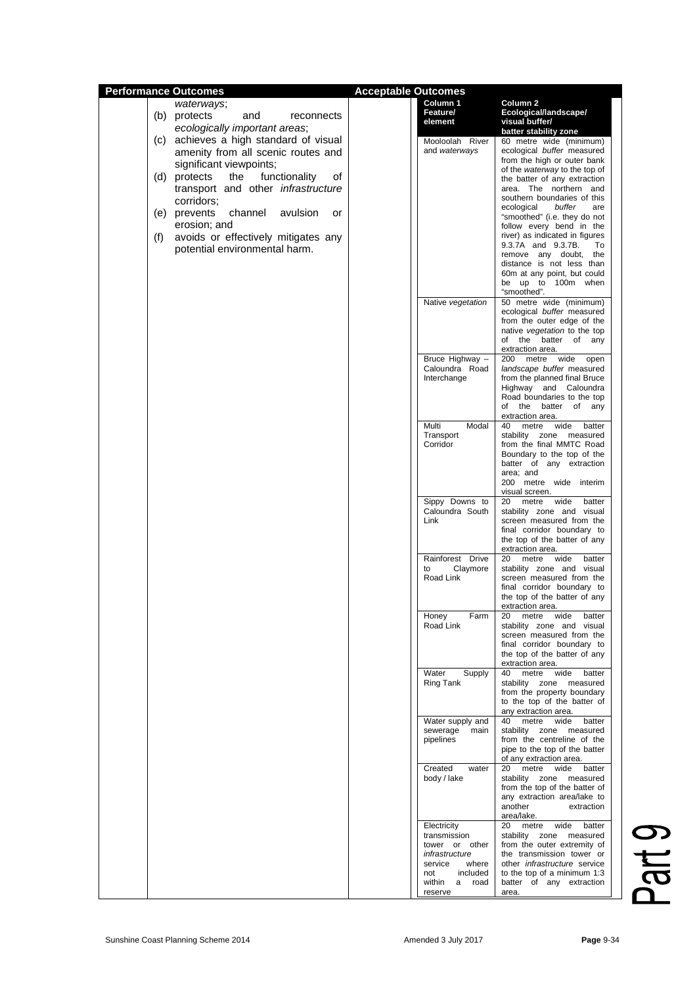| <b>Performance Outcomes</b> |                                            | <b>Acceptable Outcomes</b>       |                                                              |
|-----------------------------|--------------------------------------------|----------------------------------|--------------------------------------------------------------|
|                             | waterways;                                 | Column <sub>1</sub>              | Column 2                                                     |
|                             | (b) protects<br>and<br>reconnects          | <b>Feature/</b>                  | Ecological/landscape/                                        |
|                             | ecologically important areas;              | element                          | visual buffer/                                               |
|                             |                                            |                                  | batter stability zone                                        |
|                             | (c) achieves a high standard of visual     | Mooloolah River                  | 60 metre wide (minimum)                                      |
|                             | amenity from all scenic routes and         | and waterways                    | ecological buffer measured<br>from the high or outer bank    |
|                             | significant viewpoints;                    |                                  | of the waterway to the top of                                |
|                             | the<br>functionality<br>(d) protects<br>οf |                                  | the batter of any extraction                                 |
|                             | transport and other infrastructure         |                                  | area. The northern<br>and                                    |
|                             | corridors;                                 |                                  | southern boundaries of this                                  |
|                             | channel<br>(e) prevents<br>avulsion<br>or  |                                  | buffer<br>ecological<br>are<br>"smoothed" (i.e. they do not  |
|                             | erosion; and                               |                                  | follow every bend in the                                     |
| (f)                         | avoids or effectively mitigates any        |                                  | river) as indicated in figures                               |
|                             | potential environmental harm.              |                                  | 9.3.7A and 9.3.7B.<br>To                                     |
|                             |                                            |                                  | remove any doubt,<br>the                                     |
|                             |                                            |                                  | distance is not less than<br>60m at any point, but could     |
|                             |                                            |                                  | be up to 100m when                                           |
|                             |                                            |                                  | "smoothed".                                                  |
|                             |                                            | Native vegetation                | 50 metre wide (minimum)                                      |
|                             |                                            |                                  | ecological buffer measured                                   |
|                             |                                            |                                  | from the outer edge of the<br>native vegetation to the top   |
|                             |                                            |                                  | of the batter of<br>any                                      |
|                             |                                            |                                  | extraction area.                                             |
|                             |                                            | Bruce Highway -                  | 200 metre wide<br>open                                       |
|                             |                                            | Caloundra Road                   | landscape buffer measured                                    |
|                             |                                            | Interchange                      | from the planned final Bruce<br>Highway and Caloundra        |
|                             |                                            |                                  | Road boundaries to the top                                   |
|                             |                                            |                                  | of the batter of any                                         |
|                             |                                            |                                  | extraction area.                                             |
|                             |                                            | Multi<br>Modal<br>Transport      | wide<br>40<br>metre<br>batter<br>stability                   |
|                             |                                            | Corridor                         | zone measured<br>from the final MMTC Road                    |
|                             |                                            |                                  | Boundary to the top of the                                   |
|                             |                                            |                                  | batter of any extraction                                     |
|                             |                                            |                                  | area; and                                                    |
|                             |                                            |                                  | 200 metre wide interim<br>visual screen.                     |
|                             |                                            | Sippy Downs to                   | wide<br>20<br>metre<br>batter                                |
|                             |                                            | Caloundra South                  | stability zone and visual                                    |
|                             |                                            | Link                             | screen measured from the                                     |
|                             |                                            |                                  | final corridor boundary to                                   |
|                             |                                            |                                  | the top of the batter of any<br>extraction area.             |
|                             |                                            | Rainforest Drive                 | 20<br>metre<br>wide<br>batter                                |
|                             |                                            | Claymore<br>to                   | stability zone and visual                                    |
|                             |                                            | Road Link                        | screen measured from the                                     |
|                             |                                            |                                  | final corridor boundary to<br>the top of the batter of any   |
|                             |                                            |                                  | extraction area.                                             |
|                             |                                            | Honey<br>Farm                    | 20<br>metre<br>wide<br>batter                                |
|                             |                                            | Road Link                        | stability zone and visual                                    |
|                             |                                            |                                  | screen measured from the<br>final corridor boundary to       |
|                             |                                            |                                  | the top of the batter of any                                 |
|                             |                                            |                                  | extraction area.                                             |
|                             |                                            | Water<br>Supply                  | metre<br>wide<br>batter<br>40                                |
|                             |                                            | Ring Tank                        | stability zone measured<br>from the property boundary        |
|                             |                                            |                                  | to the top of the batter of                                  |
|                             |                                            |                                  | any extraction area.                                         |
|                             |                                            | Water supply and                 | metre<br>40<br>wide<br>batter                                |
|                             |                                            | sewerage main                    | stability zone measured                                      |
|                             |                                            | pipelines                        | from the centreline of the<br>pipe to the top of the batter  |
|                             |                                            |                                  | of any extraction area.                                      |
|                             |                                            | Created<br>water                 | 20<br>metre<br>wide<br>batter                                |
|                             |                                            | body / lake                      | stability zone measured                                      |
|                             |                                            |                                  | from the top of the batter of<br>any extraction area/lake to |
|                             |                                            |                                  | another<br>extraction                                        |
|                             |                                            |                                  | area/lake.                                                   |
|                             |                                            | Electricity                      | wide<br>20<br>metre<br>batter                                |
|                             |                                            | transmission                     | stability zone measured                                      |
|                             |                                            | tower or other<br>infrastructure | from the outer extremity of<br>the transmission tower or     |
|                             |                                            | service<br>where                 | other <i>infrastructure</i> service                          |
|                             |                                            | not<br>included                  | to the top of a minimum 1:3                                  |
|                             |                                            | within<br>a road                 | batter of any extraction                                     |
|                             |                                            | reserve                          | area.                                                        |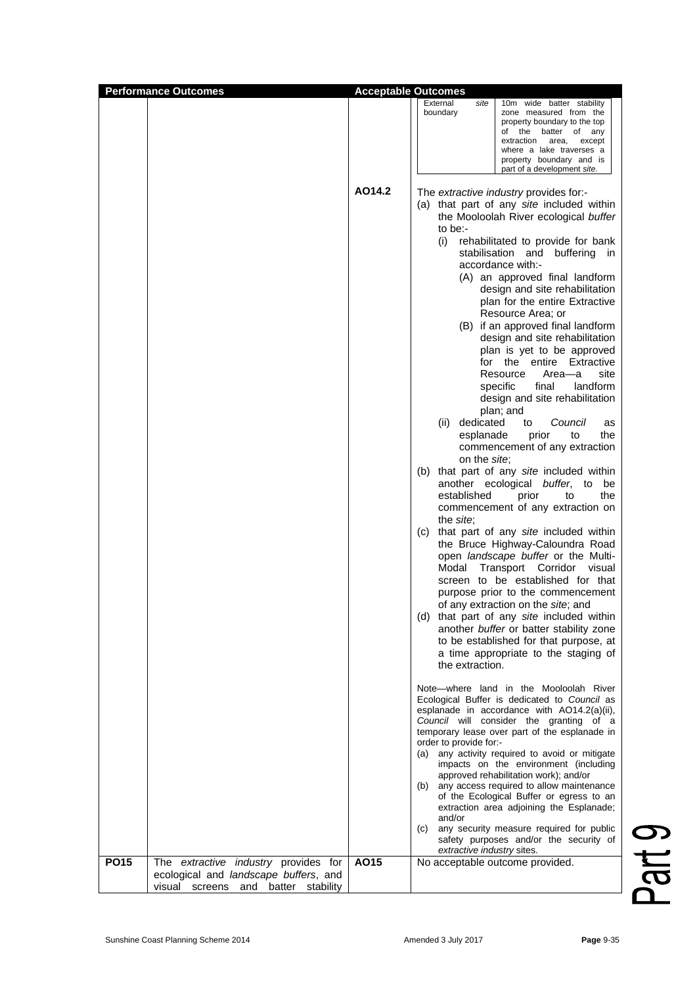| <b>Performance Outcomes</b> |                                                                                                                      |        | <b>Acceptable Outcomes</b>                                                                                                                                                                                                                                                                                                                                                                                                                                                                                                                                                                                                                                                                                                                                                                                                                                                                                                                                                                                                                                                                                                                                                                                                                                                                                                                                                                                                                                                                                                                                                                                                                                                                                                                                                                                                                                                                                                                                                                                                                                                                                     |
|-----------------------------|----------------------------------------------------------------------------------------------------------------------|--------|----------------------------------------------------------------------------------------------------------------------------------------------------------------------------------------------------------------------------------------------------------------------------------------------------------------------------------------------------------------------------------------------------------------------------------------------------------------------------------------------------------------------------------------------------------------------------------------------------------------------------------------------------------------------------------------------------------------------------------------------------------------------------------------------------------------------------------------------------------------------------------------------------------------------------------------------------------------------------------------------------------------------------------------------------------------------------------------------------------------------------------------------------------------------------------------------------------------------------------------------------------------------------------------------------------------------------------------------------------------------------------------------------------------------------------------------------------------------------------------------------------------------------------------------------------------------------------------------------------------------------------------------------------------------------------------------------------------------------------------------------------------------------------------------------------------------------------------------------------------------------------------------------------------------------------------------------------------------------------------------------------------------------------------------------------------------------------------------------------------|
|                             |                                                                                                                      |        | External<br>site<br>10m wide batter stability<br>boundary<br>zone measured from the<br>property boundary to the top<br>of the batter of any<br>extraction<br>area,<br>except<br>where a lake traverses a<br>property boundary and is<br>part of a development site.                                                                                                                                                                                                                                                                                                                                                                                                                                                                                                                                                                                                                                                                                                                                                                                                                                                                                                                                                                                                                                                                                                                                                                                                                                                                                                                                                                                                                                                                                                                                                                                                                                                                                                                                                                                                                                            |
|                             |                                                                                                                      | AO14.2 | The extractive industry provides for:-<br>(a) that part of any site included within<br>the Mooloolah River ecological buffer<br>to be:-<br>rehabilitated to provide for bank<br>(i)<br>stabilisation and<br>buffering in<br>accordance with:-<br>(A) an approved final landform<br>design and site rehabilitation<br>plan for the entire Extractive<br>Resource Area; or<br>(B) if an approved final landform<br>design and site rehabilitation<br>plan is yet to be approved<br>for the entire Extractive<br>Resource<br>site<br>Area—a<br>landform<br>specific<br>final<br>design and site rehabilitation<br>plan; and<br>dedicated<br>Council<br>(ii)<br>to<br>as<br>esplanade<br>prior<br>to<br>the<br>commencement of any extraction<br>on the <i>site</i> ;<br>(b) that part of any site included within<br>another ecological buffer, to be<br>established<br>prior<br>to<br>the<br>commencement of any extraction on<br>the site;<br>(c) that part of any site included within<br>the Bruce Highway-Caloundra Road<br>open <i>landscape buffer</i> or the Multi-<br>Modal<br>Transport Corridor visual<br>screen to be established for that<br>purpose prior to the commencement<br>of any extraction on the site; and<br>(d) that part of any site included within<br>another buffer or batter stability zone<br>to be established for that purpose, at<br>a time appropriate to the staging of<br>the extraction.<br>Note—where land in the Mooloolah River<br>Ecological Buffer is dedicated to Council as<br>esplanade in accordance with AO14.2(a)(ii),<br>Council will consider the granting of a<br>temporary lease over part of the esplanade in<br>order to provide for:-<br>(a) any activity required to avoid or mitigate<br>impacts on the environment (including<br>approved rehabilitation work); and/or<br>any access required to allow maintenance<br>(b)<br>of the Ecological Buffer or egress to an<br>extraction area adjoining the Esplanade;<br>and/or<br>(c)<br>any security measure required for public<br>safety purposes and/or the security of<br>extractive industry sites. |
| <b>PO15</b>                 | The extractive industry provides for<br>ecological and landscape buffers, and<br>visual screens and batter stability | AO15   | No acceptable outcome provided.                                                                                                                                                                                                                                                                                                                                                                                                                                                                                                                                                                                                                                                                                                                                                                                                                                                                                                                                                                                                                                                                                                                                                                                                                                                                                                                                                                                                                                                                                                                                                                                                                                                                                                                                                                                                                                                                                                                                                                                                                                                                                |

Part 9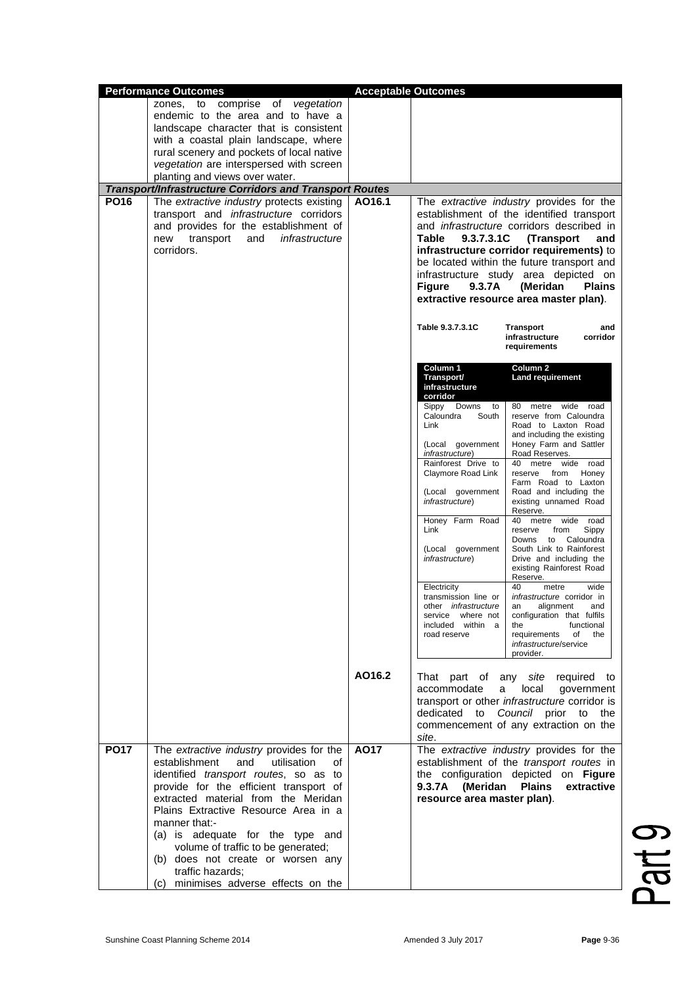|             | <b>Performance Outcomes</b>                                                            |        | <b>Acceptable Outcomes</b>                                         |                                                                                               |
|-------------|----------------------------------------------------------------------------------------|--------|--------------------------------------------------------------------|-----------------------------------------------------------------------------------------------|
|             | to comprise of vegetation<br>zones,                                                    |        |                                                                    |                                                                                               |
|             | endemic to the area and to have a                                                      |        |                                                                    |                                                                                               |
|             | landscape character that is consistent<br>with a coastal plain landscape, where        |        |                                                                    |                                                                                               |
|             | rural scenery and pockets of local native                                              |        |                                                                    |                                                                                               |
|             | vegetation are interspersed with screen                                                |        |                                                                    |                                                                                               |
|             | planting and views over water.                                                         |        |                                                                    |                                                                                               |
|             | Transport/Infrastructure Corridors and Transport Routes                                |        |                                                                    |                                                                                               |
| <b>PO16</b> | The extractive industry protects existing                                              | AO16.1 |                                                                    | The extractive industry provides for the                                                      |
|             | transport and <i>infrastructure</i> corridors<br>and provides for the establishment of |        |                                                                    | establishment of the identified transport<br>and <i>infrastructure</i> corridors described in |
|             | infrastructure<br>transport<br>and<br>new                                              |        | 9.3.7.3.1C<br>Table                                                | (Transport<br>and                                                                             |
|             | corridors.                                                                             |        |                                                                    | infrastructure corridor requirements) to                                                      |
|             |                                                                                        |        |                                                                    | be located within the future transport and                                                    |
|             |                                                                                        |        |                                                                    | infrastructure study area depicted on                                                         |
|             |                                                                                        |        | <b>Figure</b><br>9.3.7A                                            | (Meridan<br><b>Plains</b>                                                                     |
|             |                                                                                        |        |                                                                    | extractive resource area master plan).                                                        |
|             |                                                                                        |        | Table 9.3.7.3.1C                                                   | <b>Transport</b><br>and<br>infrastructure<br>corridor<br>requirements                         |
|             |                                                                                        |        | Column 1<br>Transport/<br>infrastructure<br>corridor               | Column <sub>2</sub><br>Land requirement                                                       |
|             |                                                                                        |        | Sippy<br>Downs to<br>Caloundra<br>South                            | 80 metre wide road<br>reserve from Caloundra                                                  |
|             |                                                                                        |        | Link                                                               | Road to Laxton Road<br>and including the existing                                             |
|             |                                                                                        |        | (Local government<br><i>infrastructure</i> )                       | Honey Farm and Sattler<br>Road Reserves.                                                      |
|             |                                                                                        |        | Rainforest Drive to<br>Claymore Road Link                          | 40 metre wide road<br>reserve from Honey<br>Farm Road to Laxton                               |
|             |                                                                                        |        | (Local government<br><i>infrastructure</i> )                       | Road and including the<br>existing unnamed Road<br>Reserve.                                   |
|             |                                                                                        |        | Honey Farm Road<br>Link                                            | 40 metre wide road<br>Sippy<br>reserve<br>from<br>Downs to Caloundra                          |
|             |                                                                                        |        | (Local government<br><i>infrastructure</i> )                       | South Link to Rainforest<br>Drive and including the<br>existing Rainforest Road<br>Reserve.   |
|             |                                                                                        |        | Electricity<br>transmission line or<br>other <i>infrastructure</i> | 40<br>metre<br>wide<br>infrastructure corridor in<br>an alignment and                         |
|             |                                                                                        |        | service where not                                                  | configuration that fulfils                                                                    |
|             |                                                                                        |        | included within a<br>road reserve                                  | functional<br>the<br>requirements of the                                                      |
|             |                                                                                        |        |                                                                    | infrastructure/service<br>provider.                                                           |
|             |                                                                                        | AO16.2 | accommodate                                                        | That part of any site required to<br>local<br>a i<br>government                               |
|             |                                                                                        |        |                                                                    | transport or other infrastructure corridor is                                                 |
|             |                                                                                        |        |                                                                    | dedicated to Council prior to the                                                             |
|             |                                                                                        |        | site.                                                              | commencement of any extraction on the                                                         |
| <b>PO17</b> | The extractive industry provides for the                                               | A017   |                                                                    | The extractive industry provides for the                                                      |
|             | establishment<br>and<br>utilisation<br>οf                                              |        |                                                                    | establishment of the transport routes in                                                      |
|             | identified transport routes, so as to                                                  |        |                                                                    | the configuration depicted on Figure                                                          |
|             | provide for the efficient transport of                                                 |        | 9.3.7A (Meridan                                                    | <b>Plains</b><br>extractive                                                                   |
|             | extracted material from the Meridan<br>Plains Extractive Resource Area in a            |        | resource area master plan).                                        |                                                                                               |
|             | manner that:-                                                                          |        |                                                                    |                                                                                               |
|             | (a) is adequate for the type and                                                       |        |                                                                    |                                                                                               |
|             | volume of traffic to be generated;                                                     |        |                                                                    |                                                                                               |
|             | (b) does not create or worsen any                                                      |        |                                                                    |                                                                                               |
|             | traffic hazards:<br>minimises adverse effects on the<br>(c)                            |        |                                                                    |                                                                                               |
|             |                                                                                        |        |                                                                    |                                                                                               |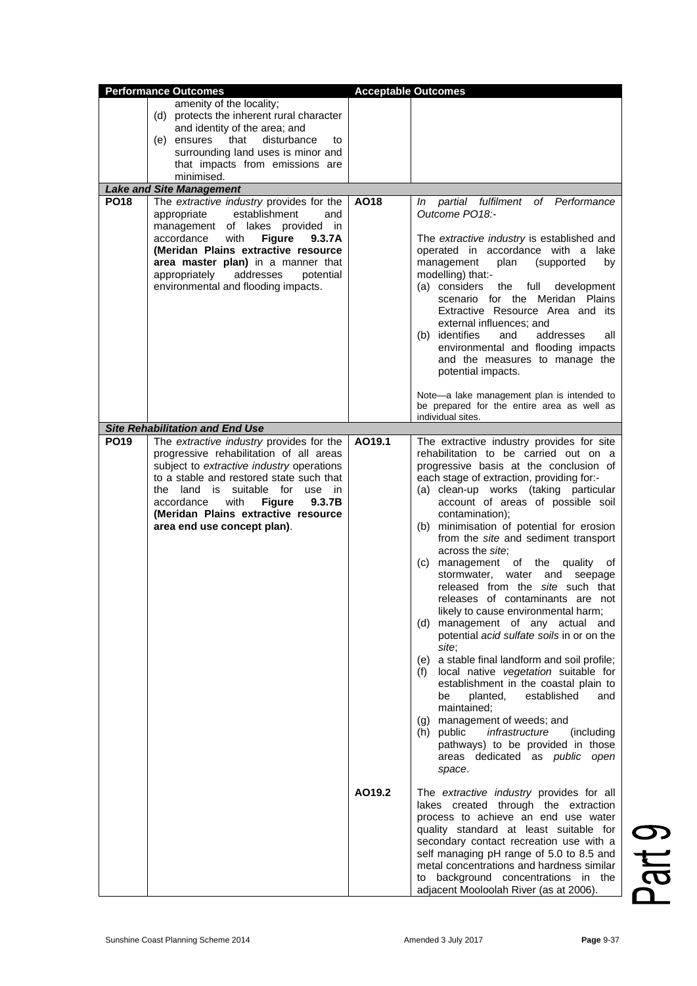|             | <b>Performance Outcomes</b>                                                                                                                                                                                                                                                                                                            |        | <b>Acceptable Outcomes</b>                                                                                                                                                                                                                                                                                                                                                                                                                                                                                                                                                                                                                                                                                                                                                                                                                                                                                                                                                                                                                          |
|-------------|----------------------------------------------------------------------------------------------------------------------------------------------------------------------------------------------------------------------------------------------------------------------------------------------------------------------------------------|--------|-----------------------------------------------------------------------------------------------------------------------------------------------------------------------------------------------------------------------------------------------------------------------------------------------------------------------------------------------------------------------------------------------------------------------------------------------------------------------------------------------------------------------------------------------------------------------------------------------------------------------------------------------------------------------------------------------------------------------------------------------------------------------------------------------------------------------------------------------------------------------------------------------------------------------------------------------------------------------------------------------------------------------------------------------------|
|             | amenity of the locality;<br>(d) protects the inherent rural character<br>and identity of the area; and<br>that<br>disturbance<br>(e) ensures<br>to<br>surrounding land uses is minor and<br>that impacts from emissions are<br>minimised.                                                                                              |        |                                                                                                                                                                                                                                                                                                                                                                                                                                                                                                                                                                                                                                                                                                                                                                                                                                                                                                                                                                                                                                                     |
|             | <b>Lake and Site Management</b>                                                                                                                                                                                                                                                                                                        |        |                                                                                                                                                                                                                                                                                                                                                                                                                                                                                                                                                                                                                                                                                                                                                                                                                                                                                                                                                                                                                                                     |
| <b>PO18</b> | The extractive industry provides for the<br>establishment<br>appropriate<br>and<br>management of lakes provided in<br>accordance<br>with<br><b>Figure</b><br>9.3.7A<br>(Meridan Plains extractive resource<br>area master plan) in a manner that<br>appropriately<br>addresses<br>potential<br>environmental and flooding impacts.     | AO18   | In partial fulfilment of Performance<br>Outcome PO18:-<br>The extractive industry is established and<br>operated in accordance with a lake<br>management<br>plan<br>(supported<br>by<br>modelling) that:-<br>(a) considers<br>full<br>the<br>development<br>scenario for the Meridan Plains<br>Extractive Resource Area and its<br>external influences; and<br>(b) identifies<br>and<br>addresses<br>all<br>environmental and flooding impacts<br>and the measures to manage the<br>potential impacts.<br>Note-a lake management plan is intended to                                                                                                                                                                                                                                                                                                                                                                                                                                                                                                |
|             |                                                                                                                                                                                                                                                                                                                                        |        | be prepared for the entire area as well as<br>individual sites.                                                                                                                                                                                                                                                                                                                                                                                                                                                                                                                                                                                                                                                                                                                                                                                                                                                                                                                                                                                     |
|             | <b>Site Rehabilitation and End Use</b>                                                                                                                                                                                                                                                                                                 |        |                                                                                                                                                                                                                                                                                                                                                                                                                                                                                                                                                                                                                                                                                                                                                                                                                                                                                                                                                                                                                                                     |
| <b>PO19</b> | The extractive industry provides for the<br>progressive rehabilitation of all areas<br>subject to extractive industry operations<br>to a stable and restored state such that<br>the land is suitable for use in<br>with<br><b>Figure</b><br>9.3.7B<br>accordance<br>(Meridan Plains extractive resource<br>area end use concept plan). | AO19.1 | The extractive industry provides for site<br>rehabilitation to be carried out on a<br>progressive basis at the conclusion of<br>each stage of extraction, providing for:-<br>(a) clean-up works (taking particular<br>account of areas of possible soil<br>contamination);<br>(b) minimisation of potential for erosion<br>from the site and sediment transport<br>across the site;<br>management of the<br>(C)<br>quality<br>οf<br>stormwater, water and<br>seepage<br>released from the site such that<br>releases of contaminants are not<br>likely to cause environmental harm;<br>management of any actual and<br>(d)<br>potential acid sulfate soils in or on the<br>site;<br>a stable final landform and soil profile;<br>(e)<br>local native vegetation suitable for<br>(f)<br>establishment in the coastal plain to<br>planted,<br>established<br>be<br>and<br>maintained;<br>(g) management of weeds; and<br>(h) public<br>infrastructure<br>(including)<br>pathways) to be provided in those<br>areas dedicated as public open<br>space. |
|             |                                                                                                                                                                                                                                                                                                                                        | AO19.2 | The extractive industry provides for all<br>lakes created through the extraction<br>process to achieve an end use water<br>quality standard at least suitable for<br>secondary contact recreation use with a<br>self managing pH range of 5.0 to 8.5 and<br>metal concentrations and hardness similar<br>background concentrations in the<br>to<br>adjacent Mooloolah River (as at 2006).                                                                                                                                                                                                                                                                                                                                                                                                                                                                                                                                                                                                                                                           |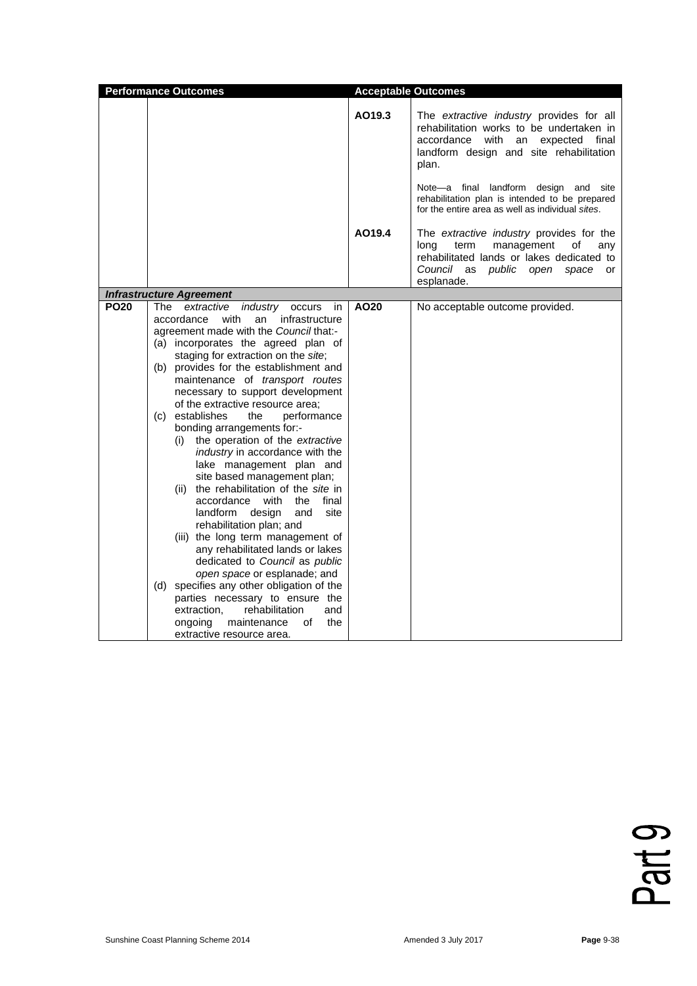|             | <b>Performance Outcomes</b>                                                                                                                                                                                                                                                                                                                                                                                                                                                                                                                                                                                                                                                                                                                                                                                                                                                                                                                                                                                                                                                  |        | <b>Acceptable Outcomes</b>                                                                                                                                                                    |
|-------------|------------------------------------------------------------------------------------------------------------------------------------------------------------------------------------------------------------------------------------------------------------------------------------------------------------------------------------------------------------------------------------------------------------------------------------------------------------------------------------------------------------------------------------------------------------------------------------------------------------------------------------------------------------------------------------------------------------------------------------------------------------------------------------------------------------------------------------------------------------------------------------------------------------------------------------------------------------------------------------------------------------------------------------------------------------------------------|--------|-----------------------------------------------------------------------------------------------------------------------------------------------------------------------------------------------|
|             |                                                                                                                                                                                                                                                                                                                                                                                                                                                                                                                                                                                                                                                                                                                                                                                                                                                                                                                                                                                                                                                                              | AO19.3 | The extractive industry provides for all<br>rehabilitation works to be undertaken in<br>accordance with an expected final<br>landform design and site rehabilitation<br>plan.                 |
|             |                                                                                                                                                                                                                                                                                                                                                                                                                                                                                                                                                                                                                                                                                                                                                                                                                                                                                                                                                                                                                                                                              |        | Note—a final landform design and site<br>rehabilitation plan is intended to be prepared<br>for the entire area as well as individual sites.                                                   |
|             |                                                                                                                                                                                                                                                                                                                                                                                                                                                                                                                                                                                                                                                                                                                                                                                                                                                                                                                                                                                                                                                                              | AO19.4 | The extractive industry provides for the<br>term<br>management<br>οf<br>long<br>any<br>rehabilitated lands or lakes dedicated to<br>Council as<br>public<br>open<br>space<br>or<br>esplanade. |
|             | <b>Infrastructure Agreement</b>                                                                                                                                                                                                                                                                                                                                                                                                                                                                                                                                                                                                                                                                                                                                                                                                                                                                                                                                                                                                                                              |        |                                                                                                                                                                                               |
| <b>PO20</b> | The<br>extractive<br>industry<br>occurs<br>in<br>with<br>infrastructure<br>accordance<br>an<br>agreement made with the Council that:-<br>(a) incorporates the agreed plan of<br>staging for extraction on the site;<br>(b) provides for the establishment and<br>maintenance of transport routes<br>necessary to support development<br>of the extractive resource area;<br>(c) establishes<br>performance<br>the<br>bonding arrangements for:-<br>the operation of the extractive<br>(i)<br>industry in accordance with the<br>lake management plan and<br>site based management plan;<br>(ii) the rehabilitation of the site in<br>accordance with<br>the<br>final<br>landform<br>design<br>site<br>and<br>rehabilitation plan; and<br>(iii) the long term management of<br>any rehabilitated lands or lakes<br>dedicated to Council as public<br>open space or esplanade; and<br>(d) specifies any other obligation of the<br>parties necessary to ensure the<br>extraction.<br>rehabilitation<br>and<br>οf<br>the<br>ongoing<br>maintenance<br>extractive resource area. | AO20   | No acceptable outcome provided.                                                                                                                                                               |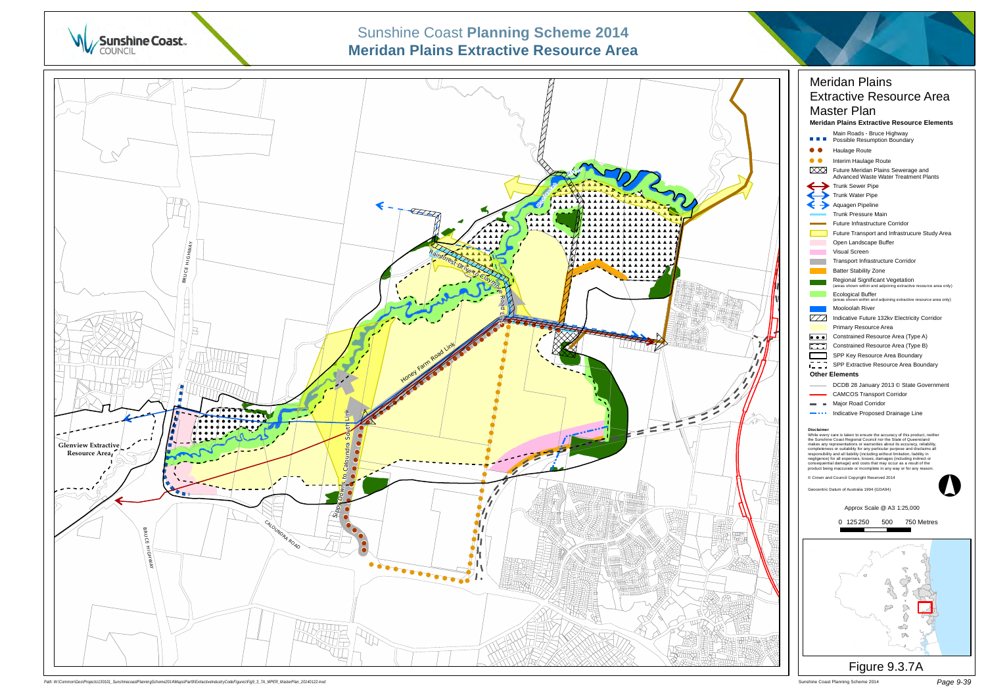

#### Sunshine Coast Planning Scheme 2014 *Page 9-39*



# Sunshine Coast **Planning Scheme 2014**